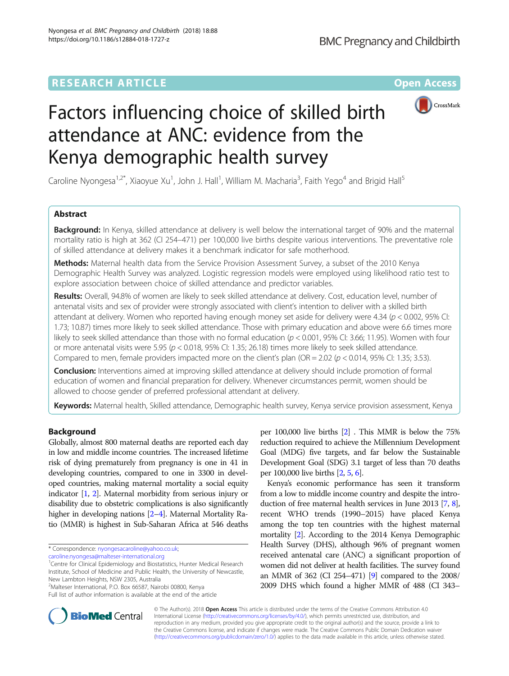# **RESEARCH ARTICLE Example 2014 12:30 The Contract of Contract ACCESS**



# Factors influencing choice of skilled birth attendance at ANC: evidence from the Kenya demographic health survey

Caroline Nyongesa<sup>1,2\*</sup>, Xiaoyue Xu<sup>1</sup>, John J. Hall<sup>1</sup>, William M. Macharia<sup>3</sup>, Faith Yego<sup>4</sup> and Brigid Hall<sup>5</sup>

# Abstract

**Background:** In Kenya, skilled attendance at delivery is well below the international target of 90% and the maternal mortality ratio is high at 362 (CI 254–471) per 100,000 live births despite various interventions. The preventative role of skilled attendance at delivery makes it a benchmark indicator for safe motherhood.

Methods: Maternal health data from the Service Provision Assessment Survey, a subset of the 2010 Kenya Demographic Health Survey was analyzed. Logistic regression models were employed using likelihood ratio test to explore association between choice of skilled attendance and predictor variables.

Results: Overall, 94.8% of women are likely to seek skilled attendance at delivery. Cost, education level, number of antenatal visits and sex of provider were strongly associated with client's intention to deliver with a skilled birth attendant at delivery. Women who reported having enough money set aside for delivery were 4.34 ( $p < 0.002$ , 95% CI: 1.73; 10.87) times more likely to seek skilled attendance. Those with primary education and above were 6.6 times more likely to seek skilled attendance than those with no formal education ( $p < 0.001$ , 95% CI: 3.66; 11.95). Women with four or more antenatal visits were 5.95 ( $p < 0.018$ , 95% CI: 1.35; 26.18) times more likely to seek skilled attendance. Compared to men, female providers impacted more on the client's plan (OR = 2.02 ( $p < 0.014$ , 95% CI: 1.35; 3.53).

**Conclusion:** Interventions aimed at improving skilled attendance at delivery should include promotion of formal education of women and financial preparation for delivery. Whenever circumstances permit, women should be allowed to choose gender of preferred professional attendant at delivery.

Keywords: Maternal health, Skilled attendance, Demographic health survey, Kenya service provision assessment, Kenya

# Background

Globally, almost 800 maternal deaths are reported each day in low and middle income countries. The increased lifetime risk of dying prematurely from pregnancy is one in 41 in developing countries, compared to one in 3300 in developed countries, making maternal mortality a social equity indicator [\[1,](#page-4-0) [2\]](#page-4-0). Maternal morbidity from serious injury or disability due to obstetric complications is also significantly higher in developing nations [\[2](#page-4-0)–[4\]](#page-4-0). Maternal Mortality Ratio (MMR) is highest in Sub-Saharan Africa at 546 deaths

\* Correspondence: [nyongesacaroline@yahoo.co.uk;](mailto:nyongesacaroline@yahoo.co.uk)

[caroline.nyongesa@malteser-international.org](mailto:caroline.nyongesa@malteser-international.org)

2 Malteser International, P.O. Box 66587, Nairobi 00800, Kenya Full list of author information is available at the end of the article per 100,000 live births [\[2](#page-4-0)] . This MMR is below the 75% reduction required to achieve the Millennium Development Goal (MDG) five targets, and far below the Sustainable Development Goal (SDG) 3.1 target of less than 70 deaths per 100,000 live births [\[2,](#page-4-0) [5](#page-4-0), [6](#page-4-0)].

Kenya's economic performance has seen it transform from a low to middle income country and despite the introduction of free maternal health services in June 2013 [\[7,](#page-4-0) [8](#page-4-0)], recent WHO trends (1990–2015) have placed Kenya among the top ten countries with the highest maternal mortality [\[2](#page-4-0)]. According to the 2014 Kenya Demographic Health Survey (DHS), although 96% of pregnant women received antenatal care (ANC) a significant proportion of women did not deliver at health facilities. The survey found an MMR of 362 (CI 254–471) [\[9](#page-5-0)] compared to the 2008/ 2009 DHS which found a higher MMR of 488 (CI 343–



© The Author(s). 2018 Open Access This article is distributed under the terms of the Creative Commons Attribution 4.0 International License [\(http://creativecommons.org/licenses/by/4.0/](http://creativecommons.org/licenses/by/4.0/)), which permits unrestricted use, distribution, and reproduction in any medium, provided you give appropriate credit to the original author(s) and the source, provide a link to the Creative Commons license, and indicate if changes were made. The Creative Commons Public Domain Dedication waiver [\(http://creativecommons.org/publicdomain/zero/1.0/](http://creativecommons.org/publicdomain/zero/1.0/)) applies to the data made available in this article, unless otherwise stated.

<sup>&</sup>lt;sup>1</sup>Centre for Clinical Epidemiology and Biostatistics, Hunter Medical Research Institute, School of Medicine and Public Health, the University of Newcastle, New Lambton Heights, NSW 2305, Australia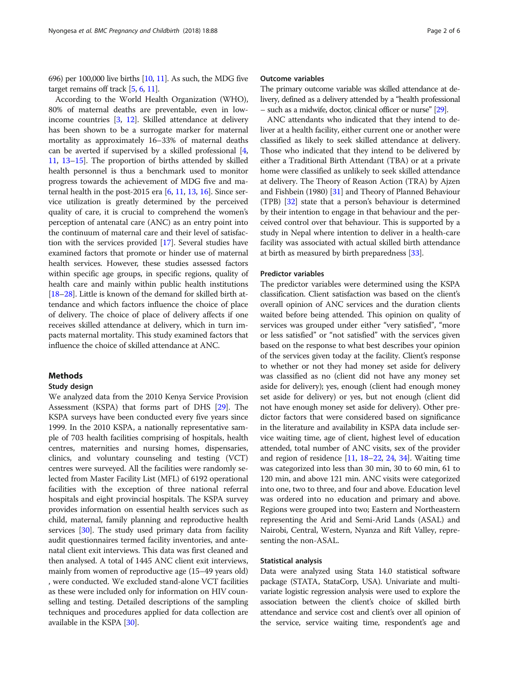696) per 100,000 live births [\[10](#page-5-0), [11\]](#page-5-0). As such, the MDG five target remains off track [[5](#page-4-0), [6,](#page-4-0) [11\]](#page-5-0).

According to the World Health Organization (WHO), 80% of maternal deaths are preventable, even in lowincome countries [\[3,](#page-4-0) [12](#page-5-0)]. Skilled attendance at delivery has been shown to be a surrogate marker for maternal mortality as approximately 16–33% of maternal deaths can be averted if supervised by a skilled professional [[4](#page-4-0), [11](#page-5-0), [13](#page-5-0)–[15\]](#page-5-0). The proportion of births attended by skilled health personnel is thus a benchmark used to monitor progress towards the achievement of MDG five and maternal health in the post-2015 era  $[6, 11, 13, 16]$  $[6, 11, 13, 16]$  $[6, 11, 13, 16]$  $[6, 11, 13, 16]$  $[6, 11, 13, 16]$  $[6, 11, 13, 16]$  $[6, 11, 13, 16]$  $[6, 11, 13, 16]$ . Since service utilization is greatly determined by the perceived quality of care, it is crucial to comprehend the women's perception of antenatal care (ANC) as an entry point into the continuum of maternal care and their level of satisfaction with the services provided [\[17](#page-5-0)]. Several studies have examined factors that promote or hinder use of maternal health services. However, these studies assessed factors within specific age groups, in specific regions, quality of health care and mainly within public health institutions [[18](#page-5-0)–[28\]](#page-5-0). Little is known of the demand for skilled birth attendance and which factors influence the choice of place of delivery. The choice of place of delivery affects if one receives skilled attendance at delivery, which in turn impacts maternal mortality. This study examined factors that influence the choice of skilled attendance at ANC.

## Methods

# Study design

We analyzed data from the 2010 Kenya Service Provision Assessment (KSPA) that forms part of DHS [[29](#page-5-0)]. The KSPA surveys have been conducted every five years since 1999. In the 2010 KSPA, a nationally representative sample of 703 health facilities comprising of hospitals, health centres, maternities and nursing homes, dispensaries, clinics, and voluntary counseling and testing (VCT) centres were surveyed. All the facilities were randomly selected from Master Facility List (MFL) of 6192 operational facilities with the exception of three national referral hospitals and eight provincial hospitals. The KSPA survey provides information on essential health services such as child, maternal, family planning and reproductive health services [\[30\]](#page-5-0). The study used primary data from facility audit questionnaires termed facility inventories, and antenatal client exit interviews. This data was first cleaned and then analysed. A total of 1445 ANC client exit interviews, mainly from women of reproductive age (15–49 years old) , were conducted. We excluded stand-alone VCT facilities as these were included only for information on HIV counselling and testing. Detailed descriptions of the sampling techniques and procedures applied for data collection are available in the KSPA [[30](#page-5-0)].

# Outcome variables

The primary outcome variable was skilled attendance at delivery, defined as a delivery attended by a "health professional – such as a midwife, doctor, clinical officer or nurse" [\[29\]](#page-5-0).

ANC attendants who indicated that they intend to deliver at a health facility, either current one or another were classified as likely to seek skilled attendance at delivery. Those who indicated that they intend to be delivered by either a Traditional Birth Attendant (TBA) or at a private home were classified as unlikely to seek skilled attendance at delivery. The Theory of Reason Action (TRA) by Ajzen and Fishbein (1980) [\[31\]](#page-5-0) and Theory of Planned Behaviour (TPB) [[32](#page-5-0)] state that a person's behaviour is determined by their intention to engage in that behaviour and the perceived control over that behaviour. This is supported by a study in Nepal where intention to deliver in a health-care facility was associated with actual skilled birth attendance at birth as measured by birth preparedness [\[33\]](#page-5-0).

### Predictor variables

The predictor variables were determined using the KSPA classification. Client satisfaction was based on the client's overall opinion of ANC services and the duration clients waited before being attended. This opinion on quality of services was grouped under either "very satisfied", "more or less satisfied" or "not satisfied" with the services given based on the response to what best describes your opinion of the services given today at the facility. Client's response to whether or not they had money set aside for delivery was classified as no (client did not have any money set aside for delivery); yes, enough (client had enough money set aside for delivery) or yes, but not enough (client did not have enough money set aside for delivery). Other predictor factors that were considered based on significance in the literature and availability in KSPA data include service waiting time, age of client, highest level of education attended, total number of ANC visits, sex of the provider and region of residence [\[11](#page-5-0), [18](#page-5-0)–[22,](#page-5-0) [24,](#page-5-0) [34\]](#page-5-0). Waiting time was categorized into less than 30 min, 30 to 60 min, 61 to 120 min, and above 121 min. ANC visits were categorized into one, two to three, and four and above. Education level was ordered into no education and primary and above. Regions were grouped into two; Eastern and Northeastern representing the Arid and Semi-Arid Lands (ASAL) and Nairobi, Central, Western, Nyanza and Rift Valley, representing the non-ASAL.

## Statistical analysis

Data were analyzed using Stata 14.0 statistical software package (STATA, StataCorp, USA). Univariate and multivariate logistic regression analysis were used to explore the association between the client's choice of skilled birth attendance and service cost and client's over all opinion of the service, service waiting time, respondent's age and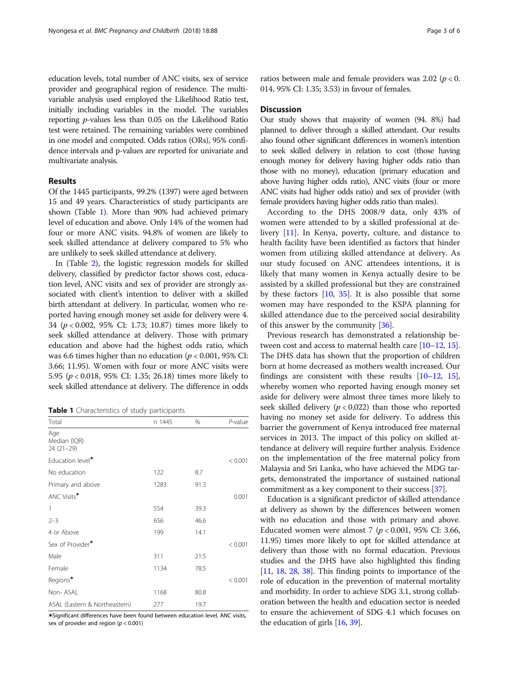education levels, total number of ANC visits, sex of service provider and geographical region of residence. The multivariable analysis used employed the Likelihood Ratio test, initially including variables in the model. The variables reporting p-values less than 0.05 on the Likelihood Ratio test were retained. The remaining variables were combined in one model and computed. Odds ratios (ORs), 95% confidence intervals and p-values are reported for univariate and multivariate analysis.

# Results

Of the 1445 participants, 99.2% (1397) were aged between 15 and 49 years. Characteristics of study participants are shown (Table 1). More than 90% had achieved primary level of education and above. Only 14% of the women had four or more ANC visits. 94.8% of women are likely to seek skilled attendance at delivery compared to 5% who are unlikely to seek skilled attendance at delivery.

In (Table [2\)](#page-3-0), the logistic regression models for skilled delivery, classified by predictor factor shows cost, education level, ANC visits and sex of provider are strongly associated with client's intention to deliver with a skilled birth attendant at delivery. In particular, women who reported having enough money set aside for delivery were 4. 34 (p < 0.002, 95% CI: 1.73; 10.87) times more likely to seek skilled attendance at delivery. Those with primary education and above had the highest odds ratio, which was 6.6 times higher than no education ( $p < 0.001$ , 95% CI: 3.66; 11.95). Women with four or more ANC visits were 5.95 (p < 0.018, 95% CI: 1.35; 26.18) times more likely to seek skilled attendance at delivery. The difference in odds

Table 1 Characteristics of study participants

| Total                              | n 1445 | %    | $P$ -value |
|------------------------------------|--------|------|------------|
| Age<br>Median (IQR)<br>$24(21-29)$ |        |      |            |
| Education level*                   |        |      | < 0.001    |
| No education                       | 122    | 8.7  |            |
| Primary and above                  | 1283   | 91.3 |            |
| ANC Visits*                        |        |      | 0.001      |
| 1                                  | 554    | 39.3 |            |
| $2 - 3$                            | 656    | 46.6 |            |
| 4 or Above                         | 199    | 14.1 |            |
| Sex of Provider*                   |        |      | < 0.001    |
| Male                               | 311    | 21.5 |            |
| Female                             | 1134   | 78.5 |            |
| Regions*                           |        |      | < 0.001    |
| Non-ASAL                           | 1168   | 80.8 |            |
| ASAL (Eastern & Northeastern)      | 277    | 19.7 |            |

✶Significant differences have been found between education level, ANC visits, sex of provider and region ( $p < 0.001$ )

ratios between male and female providers was  $2.02$  ( $p < 0$ . 014, 95% CI: 1.35; 3.53) in favour of females.

# **Discussion**

Our study shows that majority of women (94. 8%) had planned to deliver through a skilled attendant. Our results also found other significant differences in women's intention to seek skilled delivery in relation to cost (those having enough money for delivery having higher odds ratio than those with no money), education (primary education and above having higher odds ratio), ANC visits (four or more ANC visits had higher odds ratio) and sex of provider (with female providers having higher odds ratio than males).

According to the DHS 2008/9 data, only 43% of women were attended to by a skilled professional at delivery [[11](#page-5-0)]. In Kenya, poverty, culture, and distance to health facility have been identified as factors that hinder women from utilizing skilled attendance at delivery. As our study focused on ANC attendees intentions, it is likely that many women in Kenya actually desire to be assisted by a skilled professional but they are constrained by these factors [[10,](#page-5-0) [35](#page-5-0)]. It is also possible that some women may have responded to the KSPA planning for skilled attendance due to the perceived social desirability of this answer by the community [\[36\]](#page-5-0).

Previous research has demonstrated a relationship be-tween cost and access to maternal health care [[10](#page-5-0)–[12,](#page-5-0) [15](#page-5-0)]. The DHS data has shown that the proportion of children born at home decreased as mothers wealth increased. Our findings are consistent with these results  $[10-12, 15]$  $[10-12, 15]$  $[10-12, 15]$  $[10-12, 15]$  $[10-12, 15]$  $[10-12, 15]$  $[10-12, 15]$ , whereby women who reported having enough money set aside for delivery were almost three times more likely to seek skilled delivery ( $p < 0.022$ ) than those who reported having no money set aside for delivery. To address this barrier the government of Kenya introduced free maternal services in 2013. The impact of this policy on skilled attendance at delivery will require further analysis. Evidence on the implementation of the free maternal policy from Malaysia and Sri Lanka, who have achieved the MDG targets, demonstrated the importance of sustained national commitment as a key component to their success [\[37\]](#page-5-0).

Education is a significant predictor of skilled attendance at delivery as shown by the differences between women with no education and those with primary and above. Educated women were almost 7 ( $p < 0.001$ , 95% CI: 3.66, 11.95) times more likely to opt for skilled attendance at delivery than those with no formal education. Previous studies and the DHS have also highlighted this finding [[11](#page-5-0), [18,](#page-5-0) [28](#page-5-0), [38](#page-5-0)]. This finding points to importance of the role of education in the prevention of maternal mortality and morbidity. In order to achieve SDG 3.1, strong collaboration between the health and education sector is needed to ensure the achievement of SDG 4.1 which focuses on the education of girls [[16](#page-5-0), [39\]](#page-5-0).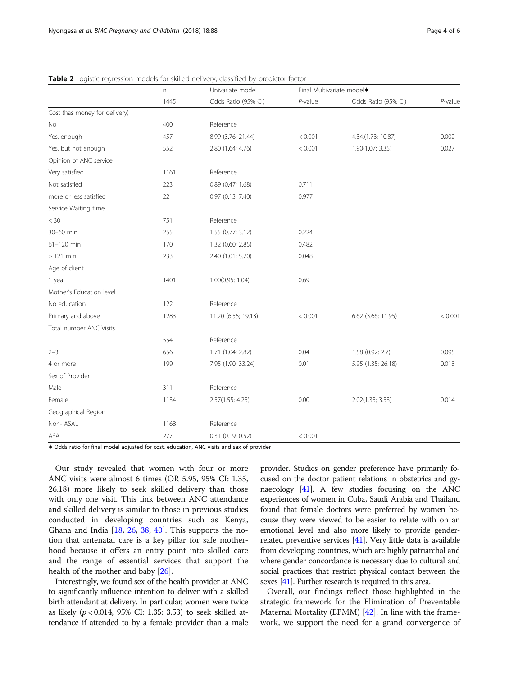|                               | n    | Univariate model<br>Odds Ratio (95% CI) | Final Multivariate model* |                     |            |
|-------------------------------|------|-----------------------------------------|---------------------------|---------------------|------------|
|                               | 1445 |                                         | $P$ -value                | Odds Ratio (95% CI) | $P$ -value |
| Cost (has money for delivery) |      |                                         |                           |                     |            |
| No                            | 400  | Reference                               |                           |                     |            |
| Yes, enough                   | 457  | 8.99 (3.76; 21.44)                      | < 0.001                   | 4.34.(1.73; 10.87)  | 0.002      |
| Yes, but not enough           | 552  | 2.80 (1.64; 4.76)                       | < 0.001                   | 1.90(1.07; 3.35)    | 0.027      |
| Opinion of ANC service        |      |                                         |                           |                     |            |
| Very satisfied                | 1161 | Reference                               |                           |                     |            |
| Not satisfied                 | 223  | $0.89$ (0.47; 1.68)                     | 0.711                     |                     |            |
| more or less satisfied        | 22   | 0.97 (0.13; 7.40)                       | 0.977                     |                     |            |
| Service Waiting time          |      |                                         |                           |                     |            |
| $<$ 30                        | 751  | Reference                               |                           |                     |            |
| 30-60 min                     | 255  | 1.55 (0.77; 3.12)                       | 0.224                     |                     |            |
| $61 - 120$ min                | 170  | 1.32 (0.60; 2.85)                       | 0.482                     |                     |            |
| $>121$ min                    | 233  | 2.40 (1.01; 5.70)                       | 0.048                     |                     |            |
| Age of client                 |      |                                         |                           |                     |            |
| 1 year                        | 1401 | 1.00(0.95; 1.04)                        | 0.69                      |                     |            |
| Mother's Education level      |      |                                         |                           |                     |            |
| No education                  | 122  | Reference                               |                           |                     |            |
| Primary and above             | 1283 | 11.20 (6.55; 19.13)                     | < 0.001                   | 6.62 (3.66; 11.95)  | < 0.001    |
| Total number ANC Visits       |      |                                         |                           |                     |            |
| 1                             | 554  | Reference                               |                           |                     |            |
| $2 - 3$                       | 656  | 1.71 (1.04; 2.82)                       | 0.04                      | 1.58 (0.92; 2.7)    | 0.095      |
| 4 or more                     | 199  | 7.95 (1.90; 33.24)                      | 0.01                      | 5.95 (1.35; 26.18)  | 0.018      |
| Sex of Provider               |      |                                         |                           |                     |            |
| Male                          | 311  | Reference                               |                           |                     |            |
| Female                        | 1134 | 2.57(1.55; 4.25)                        | 0.00                      | 2.02(1.35; 3.53)    | 0.014      |
| Geographical Region           |      |                                         |                           |                     |            |
| Non-ASAL                      | 1168 | Reference                               |                           |                     |            |
| ASAL                          | 277  | 0.31 (0.19; 0.52)                       | < 0.001                   |                     |            |

<span id="page-3-0"></span>Table 2 Logistic regression models for skilled delivery, classified by predictor factor

✶ Odds ratio for final model adjusted for cost, education, ANC visits and sex of provider

Our study revealed that women with four or more ANC visits were almost 6 times (OR 5.95, 95% CI: 1.35, 26.18) more likely to seek skilled delivery than those with only one visit. This link between ANC attendance and skilled delivery is similar to those in previous studies conducted in developing countries such as Kenya, Ghana and India [[18](#page-5-0), [26,](#page-5-0) [38,](#page-5-0) [40](#page-5-0)]. This supports the notion that antenatal care is a key pillar for safe motherhood because it offers an entry point into skilled care and the range of essential services that support the health of the mother and baby [\[26](#page-5-0)].

Interestingly, we found sex of the health provider at ANC to significantly influence intention to deliver with a skilled birth attendant at delivery. In particular, women were twice as likely ( $p < 0.014$ , 95% CI: 1.35: 3.53) to seek skilled attendance if attended to by a female provider than a male provider. Studies on gender preference have primarily focused on the doctor patient relations in obstetrics and gynaecology [\[41\]](#page-5-0). A few studies focusing on the ANC experiences of women in Cuba, Saudi Arabia and Thailand found that female doctors were preferred by women because they were viewed to be easier to relate with on an emotional level and also more likely to provide genderrelated preventive services [\[41\]](#page-5-0). Very little data is available from developing countries, which are highly patriarchal and where gender concordance is necessary due to cultural and social practices that restrict physical contact between the sexes [[41\]](#page-5-0). Further research is required in this area.

Overall, our findings reflect those highlighted in the strategic framework for the Elimination of Preventable Maternal Mortality (EPMM) [\[42](#page-5-0)]. In line with the framework, we support the need for a grand convergence of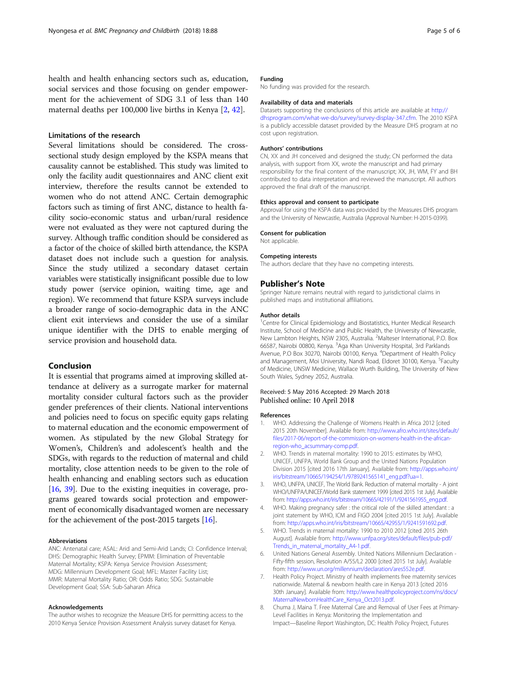<span id="page-4-0"></span>health and health enhancing sectors such as, education, social services and those focusing on gender empowerment for the achievement of SDG 3.1 of less than 140 maternal deaths per 100,000 live births in Kenya [2, [42](#page-5-0)].

# Limitations of the research

Several limitations should be considered. The crosssectional study design employed by the KSPA means that causality cannot be established. This study was limited to only the facility audit questionnaires and ANC client exit interview, therefore the results cannot be extended to women who do not attend ANC. Certain demographic factors such as timing of first ANC, distance to health facility socio-economic status and urban/rural residence were not evaluated as they were not captured during the survey. Although traffic condition should be considered as a factor of the choice of skilled birth attendance, the KSPA dataset does not include such a question for analysis. Since the study utilized a secondary dataset certain variables were statistically insignificant possible due to low study power (service opinion, waiting time, age and region). We recommend that future KSPA surveys include a broader range of socio-demographic data in the ANC client exit interviews and consider the use of a similar unique identifier with the DHS to enable merging of service provision and household data.

# Conclusion

It is essential that programs aimed at improving skilled attendance at delivery as a surrogate marker for maternal mortality consider cultural factors such as the provider gender preferences of their clients. National interventions and policies need to focus on specific equity gaps relating to maternal education and the economic empowerment of women. As stipulated by the new Global Strategy for Women's, Children's and adolescent's health and the SDGs, with regards to the reduction of maternal and child mortality, close attention needs to be given to the role of health enhancing and enabling sectors such as education [[16](#page-5-0), [39](#page-5-0)]. Due to the existing inequities in coverage, programs geared towards social protection and empowerment of economically disadvantaged women are necessary for the achievement of the post-2015 targets [\[16\]](#page-5-0).

#### Abbreviations

ANC: Antenatal care; ASAL: Arid and Semi-Arid Lands; CI: Confidence Interval; DHS: Demographic Health Survey; EPMM: Elimination of Preventable Maternal Mortality; KSPA: Kenya Service Provision Assessment; MDG: Millennium Development Goal; MFL: Master Facility List; MMR: Maternal Mortality Ratio; OR: Odds Ratio; SDG: Sustainable Development Goal; SSA: Sub-Saharan Africa

#### Acknowledgements

The author wishes to recognize the Measure DHS for permitting access to the 2010 Kenya Service Provision Assessment Analysis survey dataset for Kenya.

## Funding

No funding was provided for the research.

#### Availability of data and materials

Datasets supporting the conclusions of this article are available at [http://](http://dhsprogram.com/what-we-do/survey/survey-display-347.cfm) [dhsprogram.com/what-we-do/survey/survey-display-347.cfm.](http://dhsprogram.com/what-we-do/survey/survey-display-347.cfm) The 2010 KSPA is a publicly accessible dataset provided by the Measure DHS program at no cost upon registration.

#### Authors' contributions

CN, XX and JH conceived and designed the study; CN performed the data analysis, with support from XX, wrote the manuscript and had primary responsibility for the final content of the manuscript; XX, JH, WM, FY and BH contributed to data interpretation and reviewed the manuscript. All authors approved the final draft of the manuscript.

#### Ethics approval and consent to participate

Approval for using the KSPA data was provided by the Measures DHS program and the University of Newcastle, Australia (Approval Number: H-2015-0399).

#### Consent for publication

Not applicable.

#### Competing interests

The authors declare that they have no competing interests.

#### Publisher's Note

Springer Nature remains neutral with regard to jurisdictional claims in published maps and institutional affiliations.

#### Author details

<sup>1</sup> Centre for Clinical Epidemiology and Biostatistics, Hunter Medical Research Institute, School of Medicine and Public Health, the University of Newcastle, New Lambton Heights, NSW 2305, Australia. <sup>2</sup>Malteser International, P.O. Box 66587, Nairobi 00800, Kenya. <sup>3</sup>Aga Khan University Hospital, 3rd Parklands Avenue, P.O Box 30270, Nairobi 00100, Kenya. <sup>4</sup>Department of Health Policy and Management, Moi University, Nandi Road, Eldoret 30100, Kenya. <sup>5</sup>Faculty of Medicine, UNSW Medicine, Wallace Wurth Building, The University of New South Wales, Sydney 2052, Australia.

# Received: 5 May 2016 Accepted: 29 March 2018 Published online: 10 April 2018

#### References

- 1. WHO. Addressing the Challenge of Womens Health in Africa 2012 [cited 2015 20th November]. Available from: [http://www.afro.who.int/sites/default/](http://www.afro.who.int/sites/default/files/2017-06/report-of-the-commission-on-womens-health-in-the-african-region-who_acsummary-comp.pdf) [files/2017-06/report-of-the-commission-on-womens-health-in-the-african](http://www.afro.who.int/sites/default/files/2017-06/report-of-the-commission-on-womens-health-in-the-african-region-who_acsummary-comp.pdf)[region-who\\_acsummary-comp.pdf](http://www.afro.who.int/sites/default/files/2017-06/report-of-the-commission-on-womens-health-in-the-african-region-who_acsummary-comp.pdf).
- 2. WHO. Trends in maternal mortality: 1990 to 2015: estimates by WHO, UNICEF, UNFPA, World Bank Group and the United Nations Population Division 2015 [cited 2016 17th January]. Available from: [http://apps.who.int/](http://apps.who.int/iris/bitstream/10665/194254/1/9789241565141_eng.pdf?ua=1) [iris/bitstream/10665/194254/1/9789241565141\\_eng.pdf?ua=1](http://apps.who.int/iris/bitstream/10665/194254/1/9789241565141_eng.pdf?ua=1).
- 3. WHO, UNFPA, UNICEF, The World Bank. Reduction of maternal mortality A joint WHO/UNFPA/UNICEF/World Bank statement 1999 [cited 2015 1st July]. Available from: [http://apps.who.int/iris/bitstream/10665/42191/1/9241561955\\_eng.pdf.](http://apps.who.int/iris/bitstream/10665/42191/1/9241561955_eng.pdf)
- 4. WHO. Making pregnancy safer : the critical role of the skilled attendant : a joint statement by WHO, ICM and FIGO 2004 [cited 2015 1st July]. Available from: <http://apps.who.int/iris/bitstream/10665/42955/1/9241591692.pdf>.
- 5. WHO. Trends in maternal mortality: 1990 to 2010 2012 [cited 2015 26th August]. Available from: [http://www.unfpa.org/sites/default/files/pub-pdf/](http://www.unfpa.org/sites/default/files/pub-pdf/Trends_in_maternal_mortality_A4-1.pdf) [Trends\\_in\\_maternal\\_mortality\\_A4-1.pdf](http://www.unfpa.org/sites/default/files/pub-pdf/Trends_in_maternal_mortality_A4-1.pdf).
- 6. United Nations General Assembly. United Nations Millennium Declaration Fifty-fifth session, Resolution A/55/L2 2000 [cited 2015 1st July]. Available from: <http://www.un.org/millennium/declaration/ares552e.pdf>.
- 7. Health Policy Project. Ministry of health implements free maternity services nationwide. Maternal & newborn health care in Kenya 2013 [cited 2016 30th January]. Available from: [http://www.healthpolicyproject.com/ns/docs/](http://www.healthpolicyproject.com/ns/docs/MaternalNewbornHealthCare_Kenya_Oct2013.pdf) [MaternalNewbornHealthCare\\_Kenya\\_Oct2013.pdf.](http://www.healthpolicyproject.com/ns/docs/MaternalNewbornHealthCare_Kenya_Oct2013.pdf)
- 8. Chuma J, Maina T. Free Maternal Care and Removal of User Fees at Primary-Level Facilities in Kenya: Monitoring the Implementation and Impact—Baseline Report Washington, DC: Health Policy Project, Futures